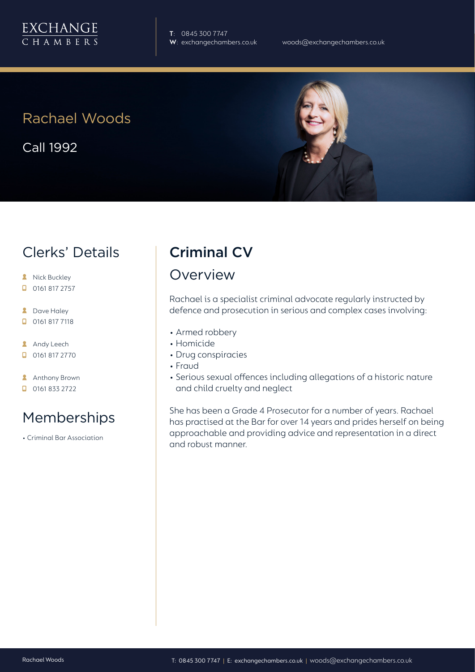

**T**: 0845 300 7747

## Rachael Woods

Call 1992

## Clerks' Details

- **A** Nick Buckley
- $\Box$  0161 817 2757
- **2** Dave Haley
- $\Box$  0161 817 7118
- **Andy Leech**
- 0161 817 2770
- **Anthony Brown**
- $\Box$  0161 833 2722

# Memberships

• Criminal Bar Association

### Criminal CV

### Overview

Rachael is a specialist criminal advocate regularly instructed by defence and prosecution in serious and complex cases involving:

- Armed robbery
- Homicide
- Drug conspiracies
- Fraud
- Serious sexual offences including allegations of a historic nature and child cruelty and neglect

She has been a Grade 4 Prosecutor for a number of years. Rachael has practised at the Bar for over 14 years and prides herself on being approachable and providing advice and representation in a direct and robust manner.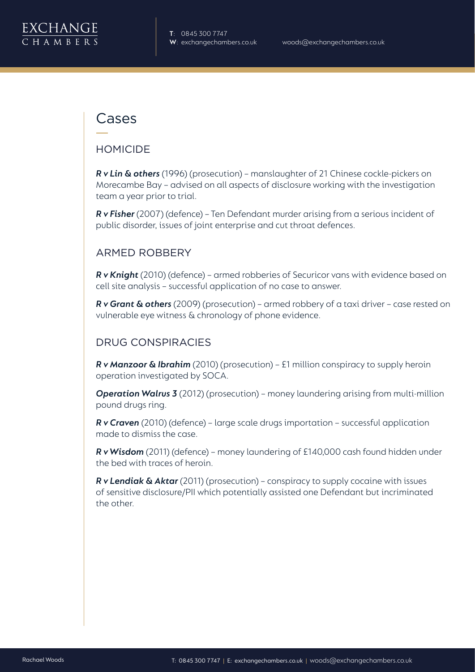### Cases

#### HOMICIDE

*R v Lin & others* (1996) (prosecution) – manslaughter of 21 Chinese cockle-pickers on Morecambe Bay – advised on all aspects of disclosure working with the investigation team a year prior to trial.

*R v Fisher* (2007) (defence) – Ten Defendant murder arising from a serious incident of public disorder, issues of joint enterprise and cut throat defences.

#### ARMED ROBBERY

*R v Knight* (2010) (defence) – armed robberies of Securicor vans with evidence based on cell site analysis – successful application of no case to answer.

*R v Grant & others* (2009) (prosecution) – armed robbery of a taxi driver – case rested on vulnerable eye witness & chronology of phone evidence.

#### DRUG CONSPIRACIES

*R v Manzoor & Ibrahim* (2010) (prosecution) – £1 million conspiracy to supply heroin operation investigated by SOCA.

*Operation Walrus 3* (2012) (prosecution) – money laundering arising from multi-million pound drugs ring.

*R v Craven* (2010) (defence) – large scale drugs importation – successful application made to dismiss the case.

*R v Wisdom* (2011) (defence) – money laundering of £140,000 cash found hidden under the bed with traces of heroin.

*R v Lendiak & Aktar* (2011) (prosecution) – conspiracy to supply cocaine with issues of sensitive disclosure/PII which potentially assisted one Defendant but incriminated the other.